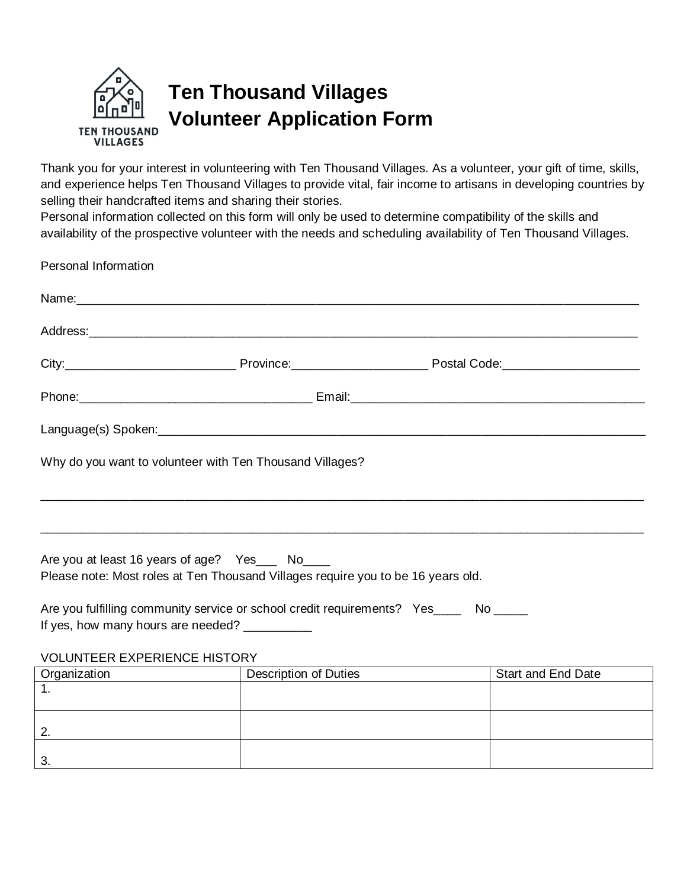

Thank you for your interest in volunteering with Ten Thousand Villages. As a volunteer, your gift of time, skills, and experience helps Ten Thousand Villages to provide vital, fair income to artisans in developing countries by selling their handcrafted items and sharing their stories.

Personal information collected on this form will only be used to determine compatibility of the skills and availability of the prospective volunteer with the needs and scheduling availability of Ten Thousand Villages.

| Personal Information                                                                                                                                                                                                           |                                                           |                           |
|--------------------------------------------------------------------------------------------------------------------------------------------------------------------------------------------------------------------------------|-----------------------------------------------------------|---------------------------|
| Name: 2008 - 2008 - 2008 - 2009 - 2009 - 2009 - 2009 - 2009 - 2009 - 2009 - 2009 - 2009 - 2009 - 2009 - 2009 - 2009 - 2009 - 2009 - 2009 - 2009 - 2009 - 2009 - 2009 - 2009 - 2009 - 2009 - 2009 - 2009 - 2009 - 2009 - 2009 - |                                                           |                           |
|                                                                                                                                                                                                                                |                                                           |                           |
|                                                                                                                                                                                                                                |                                                           |                           |
|                                                                                                                                                                                                                                |                                                           |                           |
|                                                                                                                                                                                                                                |                                                           |                           |
| Why do you want to volunteer with Ten Thousand Villages?                                                                                                                                                                       |                                                           |                           |
|                                                                                                                                                                                                                                |                                                           |                           |
|                                                                                                                                                                                                                                | <u> 1990 - John Stone, Amerikaansk politiker (* 1900)</u> |                           |
| Are you at least 16 years of age? Yes___ No____<br>Please note: Most roles at Ten Thousand Villages require you to be 16 years old.                                                                                            |                                                           |                           |
| Are you fulfilling community service or school credit requirements? Yes____ No ____                                                                                                                                            |                                                           |                           |
| If yes, how many hours are needed? _________                                                                                                                                                                                   |                                                           |                           |
| <b>VOLUNTEER EXPERIENCE HISTORY</b>                                                                                                                                                                                            |                                                           |                           |
| Organization<br><u> 1980 - Johann Barbara, martxa eta politikar</u>                                                                                                                                                            | Description of Duties                                     | <b>Start and End Date</b> |
|                                                                                                                                                                                                                                |                                                           |                           |